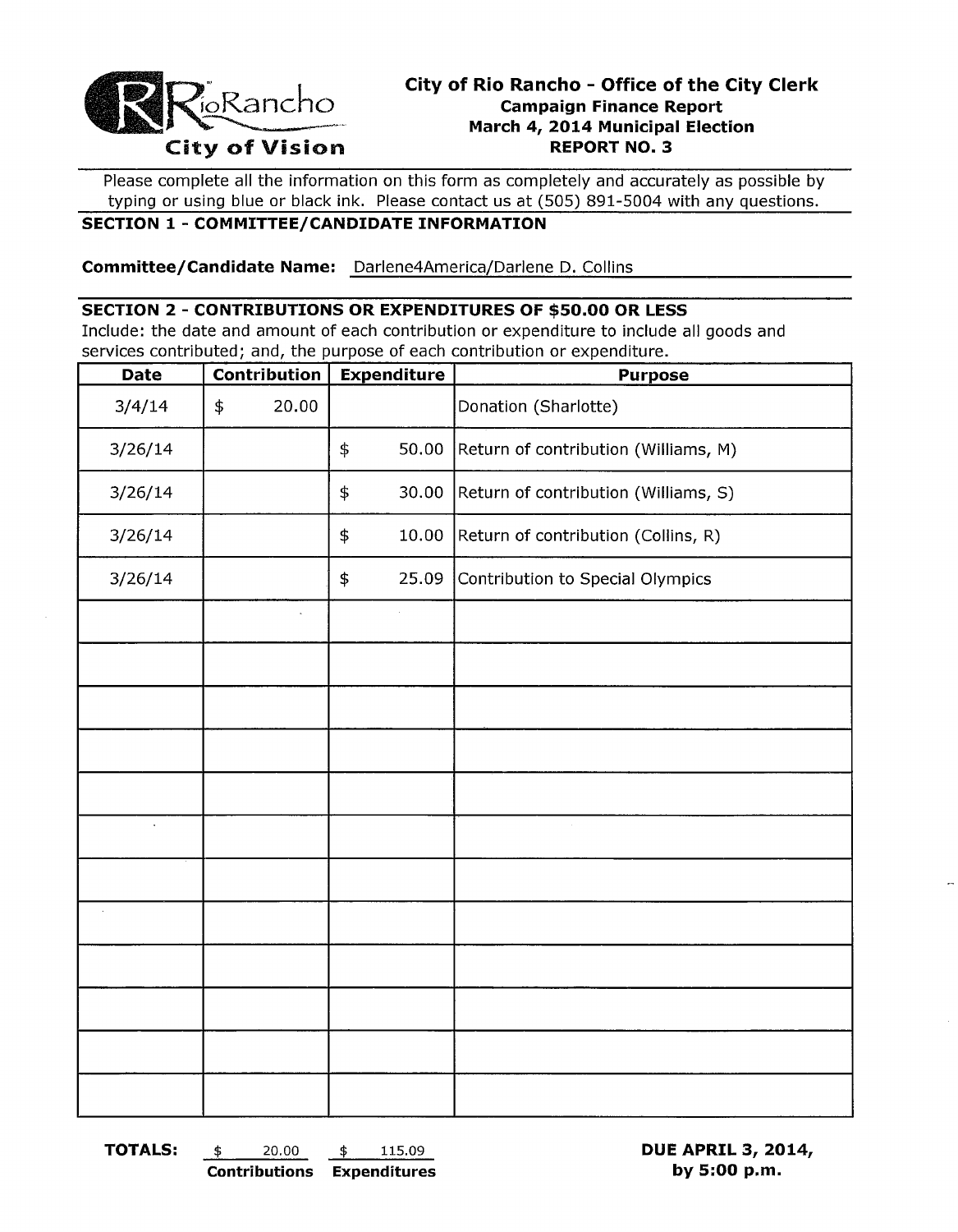

# **City of Rio Rancho - Office of the City Clerk**<br> **City of Vision**<br> **City of Vision**<br> **City of Vision**<br> **City of Vision**<br> **City of Vision March 4, 2014 Municipal Election**

Please complete all the information on this form as completely and accurately as possible by typing or using blue or black ink. Please contact us at (505) 891-5004 with any questions.

#### **SECTION 1 - COMMITTEE/CANDIDATE INFORMATION**

**Committee/Candidate Name:** Darlene4America/Darlene D. Collins

#### **SECTION 2 - CONTRIBUTIONS OR EXPENDITURES OF \$50.00 OR LESS**

Include: the date and amount of each contribution or expenditure to include all goods and services contributed; and, the purpose of each contribution or expenditure.

| <b>Date</b>          | Contribution        | <b>Expenditure</b>                                  | <b>Purpose</b>                       |
|----------------------|---------------------|-----------------------------------------------------|--------------------------------------|
| 3/4/14               | 20.00<br>$\ddagger$ |                                                     | Donation (Sharlotte)                 |
| 3/26/14              |                     | \$<br>50.00                                         | Return of contribution (Williams, M) |
| 3/26/14              |                     | 30.00<br>Return of contribution (Williams, S)<br>\$ |                                      |
| 3/26/14              |                     | \$<br>10.00<br>Return of contribution (Collins, R)  |                                      |
| 3/26/14              |                     | 25.09<br>$\frac{1}{2}$                              | Contribution to Special Olympics     |
|                      |                     |                                                     |                                      |
|                      |                     |                                                     |                                      |
|                      |                     |                                                     |                                      |
|                      |                     |                                                     |                                      |
|                      |                     |                                                     |                                      |
| $\ddot{\phantom{a}}$ |                     |                                                     |                                      |
|                      |                     |                                                     |                                      |
|                      |                     |                                                     |                                      |
|                      |                     |                                                     |                                      |
|                      |                     |                                                     |                                      |
|                      |                     |                                                     |                                      |
|                      |                     |                                                     |                                      |

**TOTALS:** \$ 20.00 \$ 115.09 **DUE APRIL 3, 2014, Contributions Expenditures by 5:00 p.m.**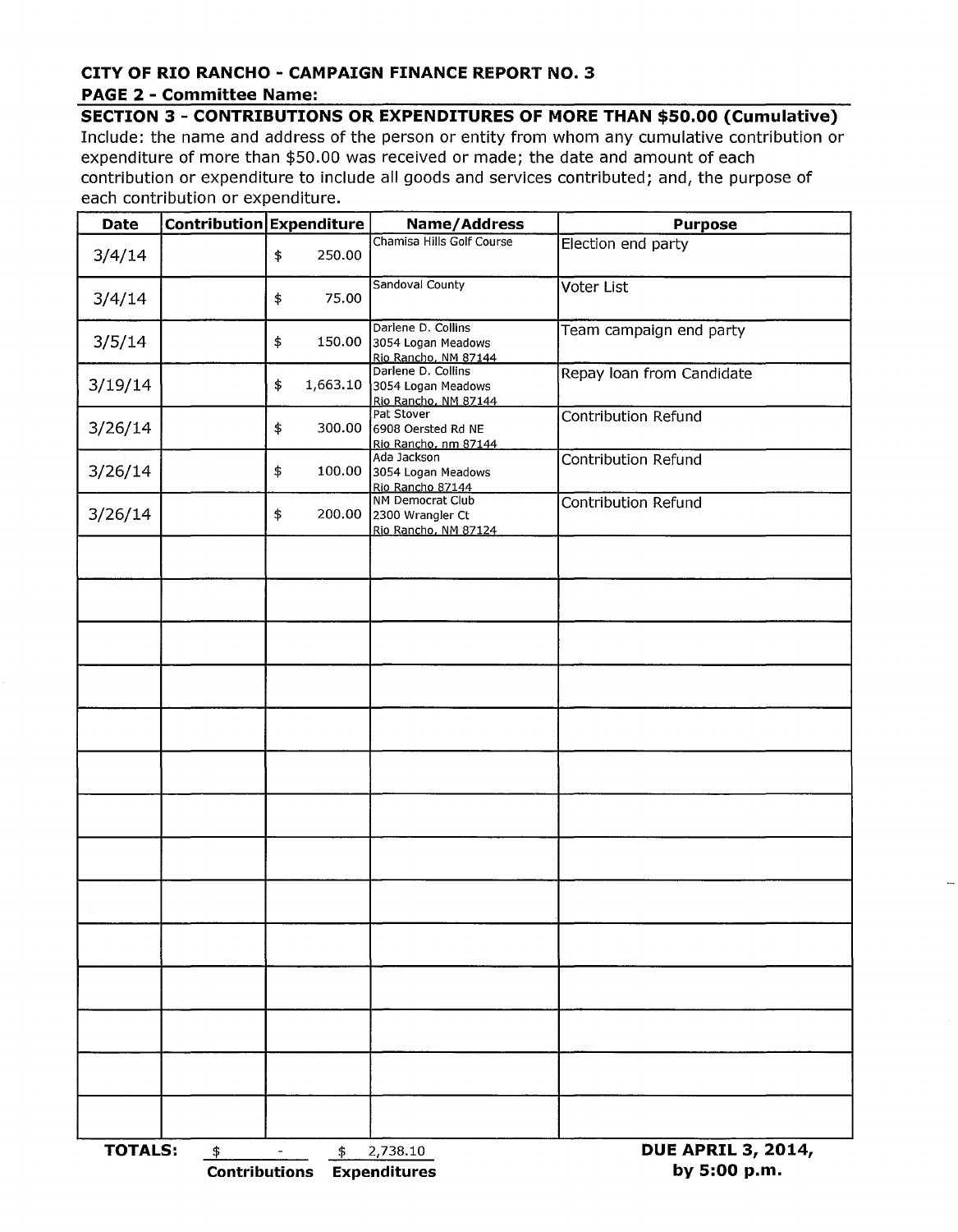#### **CITY OF RIO RANCHO - CAMPAIGN FINANCE REPORT NO.3 PAGE 2 - Committee Name:**

### **SECTION 3 - CONTRIBUTIONS OR EXPENDITURES OF MORE THAN \$50.00 (Cumulative)**

Include: the name and address of the person or entity from whom any cumulative contribution or expenditure of more than \$50.00 was received or made; the date and amount of each contribution or expenditure to include all goods and services contributed; and*l* the purpose of each contribution or expenditure.

| Date           | Contribution Expenditure   |                | Name/Address                                                        | <b>Purpose</b>                            |  |  |
|----------------|----------------------------|----------------|---------------------------------------------------------------------|-------------------------------------------|--|--|
| 3/4/14         |                            | \$<br>250.00   | Chamisa Hills Golf Course                                           | Election end party                        |  |  |
| 3/4/14         |                            | 75.00<br>\$    | Sandoval County                                                     | Voter List                                |  |  |
| 3/5/14         |                            | \$<br>150.00   | Darlene D. Collins<br>3054 Logan Meadows<br>Rio Rancho, NM 87144    | Team campaign end party                   |  |  |
| 3/19/14        |                            | 1,663.10<br>\$ | Darlene D. Collins<br>3054 Logan Meadows<br>Rio Rancho, NM 87144    | Repay loan from Candidate                 |  |  |
| 3/26/14        |                            | \$<br>300.00   | Pat Stover<br>6908 Oersted Rd NE<br>Rio Rancho, nm 87144            | Contribution Refund                       |  |  |
| 3/26/14        |                            | \$<br>100.00   | Ada Jackson<br>3054 Logan Meadows<br>Rio Rancho 87144               | Contribution Refund                       |  |  |
| 3/26/14        |                            | \$             | NM Democrat Club<br>200.00 2300 Wrangler Ct<br>Rio Rancho, NM 87124 | Contribution Refund                       |  |  |
|                |                            |                |                                                                     |                                           |  |  |
|                |                            |                |                                                                     |                                           |  |  |
|                |                            |                |                                                                     |                                           |  |  |
|                |                            |                |                                                                     |                                           |  |  |
|                |                            |                |                                                                     |                                           |  |  |
|                |                            |                |                                                                     |                                           |  |  |
|                |                            |                |                                                                     |                                           |  |  |
|                |                            |                |                                                                     |                                           |  |  |
|                |                            |                |                                                                     |                                           |  |  |
|                |                            |                |                                                                     |                                           |  |  |
|                |                            |                |                                                                     |                                           |  |  |
|                |                            |                |                                                                     |                                           |  |  |
|                |                            |                |                                                                     |                                           |  |  |
|                |                            |                |                                                                     |                                           |  |  |
| <b>TOTALS:</b> | \$<br><b>Contributions</b> | \$             | 2,738.10<br><b>Expenditures</b>                                     | <b>DUE APRIL 3, 2014,</b><br>by 5:00 p.m. |  |  |